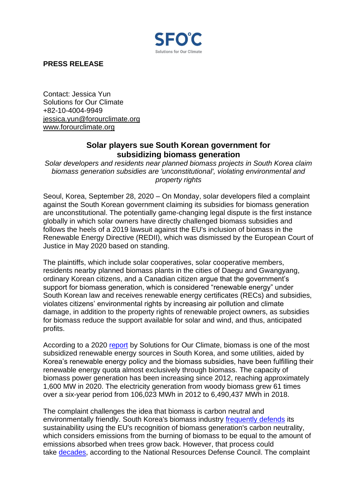

**PRESS RELEASE**

Contact: Jessica Yun Solutions for Our Climate +82-10-4004-9949 [jessica.yun@forourclimate.org](mailto:jessica.yun@forourclimate.org) [www.forourclimate.org](http://www.forourclimate.org/)

## **Solar players sue South Korean government for subsidizing biomass generation**

*Solar developers and residents near planned biomass projects in South Korea claim biomass generation subsidies are 'unconstitutional', violating environmental and property rights*

Seoul, Korea, September 28, 2020 – On Monday, solar developers filed a complaint against the South Korean government claiming its subsidies for biomass generation are unconstitutional. The potentially game-changing legal dispute is the first instance globally in which solar owners have directly challenged biomass subsidies and follows the heels of a 2019 lawsuit against the EU's inclusion of biomass in the Renewable Energy Directive (REDII), which was dismissed by the European Court of Justice in May 2020 based on standing.

The plaintiffs, which include solar cooperatives, solar cooperative members, residents nearby planned biomass plants in the cities of Daegu and Gwangyang, ordinary Korean citizens, and a Canadian citizen argue that the government's support for biomass generation, which is considered "renewable energy" under South Korean law and receives renewable energy certificates (RECs) and subsidies, violates citizens' environmental rights by increasing air pollution and climate damage, in addition to the property rights of renewable project owners, as subsidies for biomass reduce the support available for solar and wind, and thus, anticipated profits.

According to a 2020 [report](https://docs.google.com/a/forourclimate.org/viewer?a=v&pid=sites&srcid=Zm9yb3VyY2xpbWF0ZS5vcmd8c2ZvYzJ8Z3g6Mzc0NDJlMmQ0Nzc2MmM1ZQ) by Solutions for Our Climate, biomass is one of the most subsidized renewable energy sources in South Korea, and some utilities, aided by Korea's renewable energy policy and the biomass subsidies, have been fulfilling their renewable energy quota almost exclusively through biomass. The capacity of biomass power generation has been increasing since 2012, reaching approximately 1,600 MW in 2020. The electricity generation from woody biomass grew 61 times over a six-year period from 106,023 MWh in 2012 to 6,490,437 MWh in 2018.

The complaint challenges the idea that biomass is carbon neutral and environmentally friendly. South Korea's biomass industry [frequently defends](https://view.asiae.co.kr/article/2019121613560212478) its sustainability using the EU's recognition of biomass generation's carbon neutrality, which considers emissions from the burning of biomass to be equal to the amount of emissions absorbed when trees grow back. However, that process could take [decades,](https://www.nrdc.org/sites/default/files/bioenergy-modelling-IB.pdf) according to the National Resources Defense Council. The complaint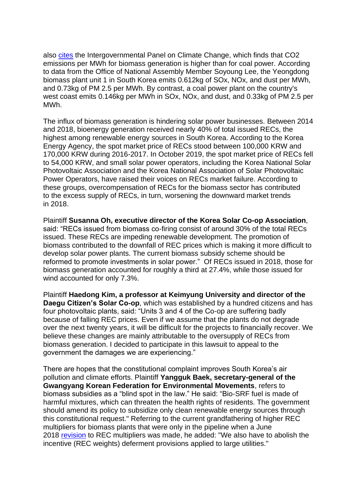also [cites](https://www.ipcc-nggip.iges.or.jp/public/2006gl/pdf/2_Volume2/V2_2_Ch2_Stationary_Combustion.pdf) the Intergovernmental Panel on Climate Change, which finds that CO2 emissions per MWh for biomass generation is higher than for coal power. According to data from the Office of National Assembly Member Soyoung Lee, the Yeongdong biomass plant unit 1 in South Korea emits 0.612kg of SOx, NOx, and dust per MWh, and 0.73kg of PM 2.5 per MWh. By contrast, a coal power plant on the country's west coast emits 0.146kg per MWh in SOx, NOx, and dust, and 0.33kg of PM 2.5 per MWh.

The influx of biomass generation is hindering solar power businesses. Between 2014 and 2018, bioenergy generation received nearly 40% of total issued RECs, the highest among renewable energy sources in South Korea. According to the Korea Energy Agency, the spot market price of RECs stood between 100,000 KRW and 170,000 KRW during 2016-2017. In October 2019, the spot market price of RECs fell to 54,000 KRW, and small solar power operators, including the Korea National Solar Photovoltaic Association and the Korea National Association of Solar Photovoltaic Power Operators, have raised their voices on RECs market failure. According to these groups, overcompensation of RECs for the biomass sector has contributed to the excess supply of RECs, in turn, worsening the downward market trends in 2018.

Plaintiff **Susanna Oh, executive director of the Korea Solar Co-op Association**, said: "RECs issued from biomass co-firing consist of around 30% of the total RECs issued. These RECs are impeding renewable development. The promotion of biomass contributed to the downfall of REC prices which is making it more difficult to develop solar power plants. The current biomass subsidy scheme should be reformed to promote investments in solar power." Of RECs issued in 2018, those for biomass generation accounted for roughly a third at 27.4%, while those issued for wind accounted for only 7.3%.

Plaintiff **Haedong Kim, a professor at Keimyung University and director of the Daegu Citizen's Solar Co-op**, which was established by a hundred citizens and has four photovoltaic plants, said: "Units 3 and 4 of the Co-op are suffering badly because of falling REC prices. Even if we assume that the plants do not degrade over the next twenty years, it will be difficult for the projects to financially recover. We believe these changes are mainly attributable to the oversupply of RECs from biomass generation. I decided to participate in this lawsuit to appeal to the government the damages we are experiencing."

There are hopes that the constitutional complaint improves South Korea's air pollution and climate efforts. Plaintiff **Yangguk Baek, secretary-general of the Gwangyang Korean Federation for Environmental Movements**, refers to biomass subsidies as a "blind spot in the law." He said: "Bio-SRF fuel is made of harmful mixtures, which can threaten the health rights of residents. The government should amend its policy to subsidize only clean renewable energy sources through this constitutional request." Referring to the current grandfathering of higher REC multipliers for biomass plants that were only in the pipeline when a June 2018 [revision](https://www.iea-coal.org/south-korea-renewable-energy-loses-ground-in-korea-due-to-faulty-policies/) to REC multipliers was made, he added: "We also have to abolish the incentive (REC weights) deferment provisions applied to large utilities."